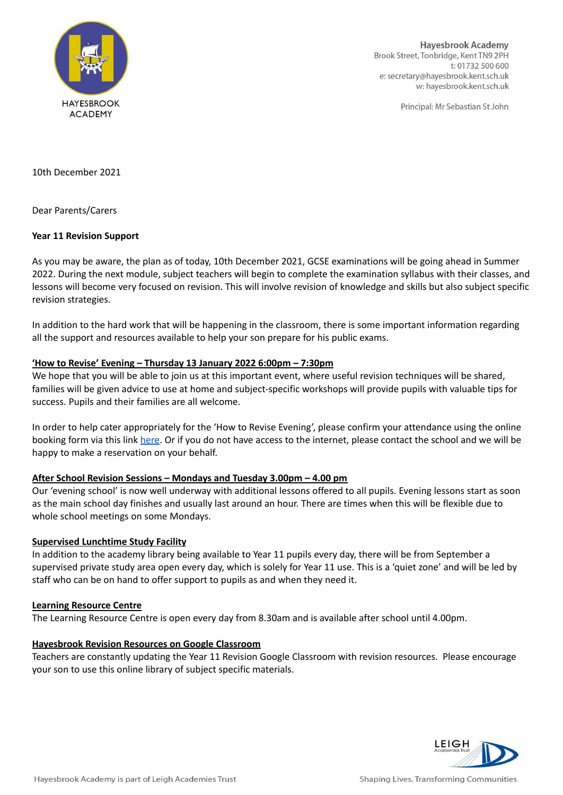

**Hayesbrook Academy** Brook Street, Tonbridge, Kent TN9 2PH t: 01732 500 600 e: secretary@hayesbrook.kent.sch.uk w: hayesbrook.kent.sch.uk

Principal: Mr Sebastian St John

10th December 2021

Dear Parents/Carers

#### **Year 11 Revision Support**

As you may be aware, the plan as of today, 10th December 2021, GCSE examinations will be going ahead in Summer 2022. During the next module, subject teachers will begin to complete the examination syllabus with their classes, and lessons will become very focused on revision. This will involve revision of knowledge and skills but also subject specific revision strategies.

In addition to the hard work that will be happening in the classroom, there is some important information regarding all the support and resources available to help your son prepare for his public exams.

#### **'How to Revise' Evening – Thursday 13 January 2022 6:00pm – 7:30pm**

We hope that you will be able to join us at this important event, where useful revision techniques will be shared, families will be given advice to use at home and subject-specific workshops will provide pupils with valuable tips for success. Pupils and their families are all welcome.

In order to help cater appropriately for the 'How to Revise Evening', please confirm your attendance using the online booking form via this link [here](https://docs.google.com/forms/d/e/1FAIpQLSdicfS0W0QB-5xps7nEVihTwLNchhBLTQ0ZUVr13CwxZYT4fw/viewform?usp=sf_link). Or if you do not have access to the internet, please contact the school and we will be happy to make a reservation on your behalf.

## **After School Revision Sessions – Mondays and Tuesday 3.00pm – 4.00 pm**

Our 'evening school' is now well underway with additional lessons offered to all pupils. Evening lessons start as soon as the main school day finishes and usually last around an hour. There are times when this will be flexible due to whole school meetings on some Mondays.

## **Supervised Lunchtime Study Facility**

In addition to the academy library being available to Year 11 pupils every day, there will be from September a supervised private study area open every day, which is solely for Year 11 use. This is a 'quiet zone' and will be led by staff who can be on hand to offer support to pupils as and when they need it.

#### **Learning Resource Centre**

The Learning Resource Centre is open every day from 8.30am and is available after school until 4.00pm.

## **Hayesbrook Revision Resources on Google Classroom**

Teachers are constantly updating the Year 11 Revision Google Classroom with revision resources. Please encourage your son to use this online library of subject specific materials.